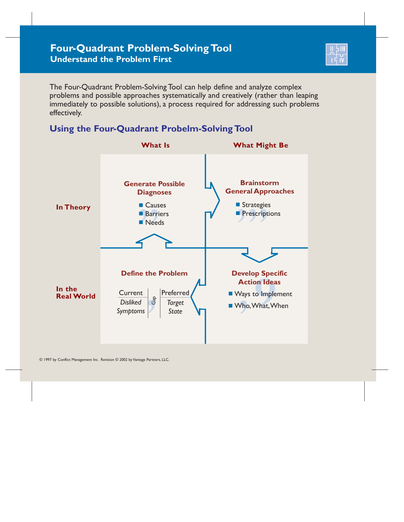

The Four-Quadrant Problem-Solving Tool can help define and analyze complex problems and possible approaches systematically and creatively (rather than leaping immediately to possible solutions), a process required for addressing such problems effectively.

## **Using the Four-Quadrant Probelm-Solving Tool**